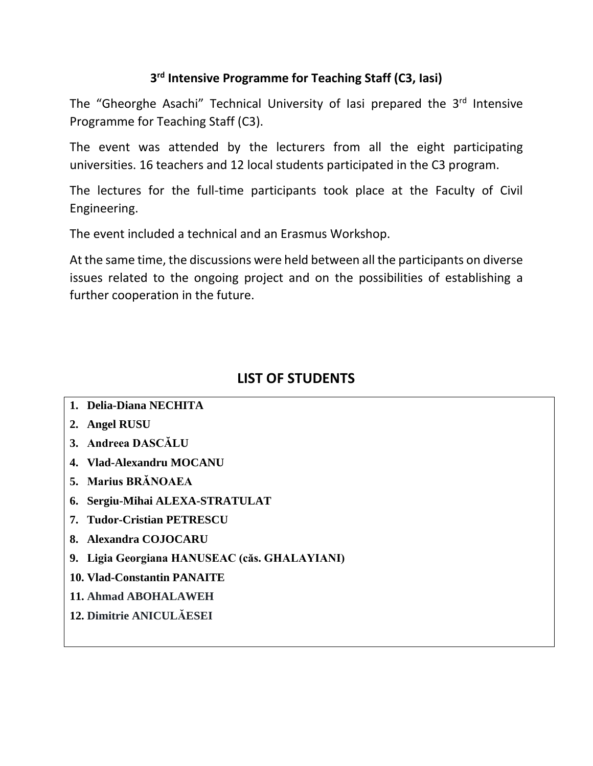## **3 rd Intensive Programme for Teaching Staff (C3, Iasi)**

The "Gheorghe Asachi" Technical University of lasi prepared the 3<sup>rd</sup> Intensive Programme for Teaching Staff (C3).

The event was attended by the lecturers from all the eight participating universities. 16 teachers and 12 local students participated in the C3 program.

The lectures for the full-time participants took place at the Faculty of Civil Engineering.

The event included a technical and an Erasmus Workshop.

At the same time, the discussions were held between all the participants on diverse issues related to the ongoing project and on the possibilities of establishing a further cooperation in the future.

## **LIST OF STUDENTS**

- **1. Delia-Diana NECHITA**
- **2. Angel RUSU**
- **3. Andreea DASCĂLU**
- **4. Vlad-Alexandru MOCANU**
- **5. Marius BRĂNOAEA**
- **6. Sergiu-Mihai ALEXA-STRATULAT**
- **7. Tudor-Cristian PETRESCU**
- **8. Alexandra COJOCARU**
- **9. Ligia Georgiana HANUSEAC (căs. GHALAYIANI)**
- **10. Vlad-Constantin PANAITE**
- **11. Ahmad ABOHALAWEH**
- **12. Dimitrie ANICULĂESEI**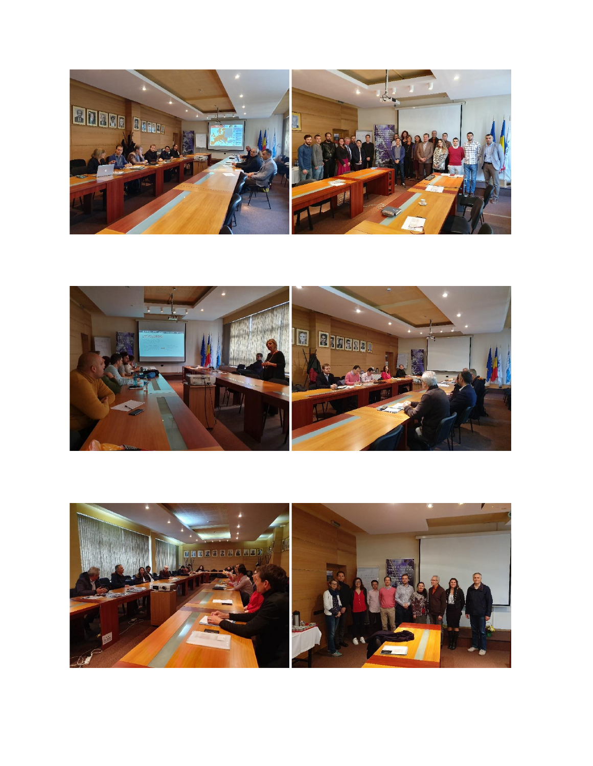